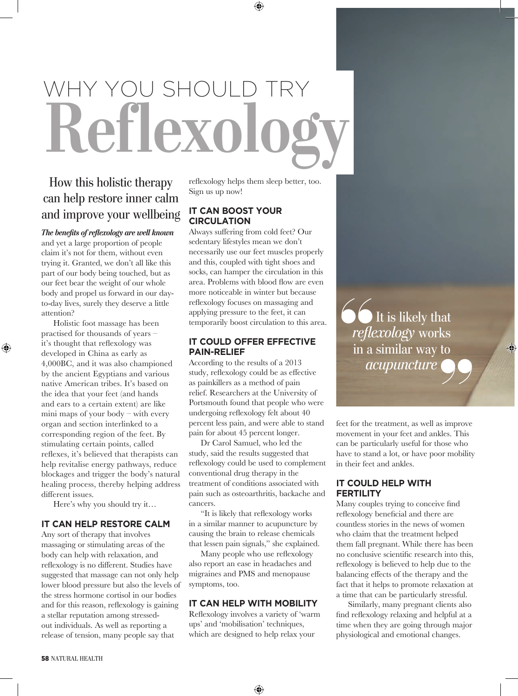# WHY YOU SHOULD TRY<br>Reflexolog

# How this holistic therapy can help restore inner calm and improve your wellbeing

*The benefits of reflexology are well known*  and yet a large proportion of people claim it's not for them, without even trying it. Granted, we don't all like this part of our body being touched, but as our feet bear the weight of our whole body and propel us forward in our dayto-day lives, surely they deserve a little attention?

Holistic foot massage has been practised for thousands of years – it's thought that reflexology was developed in China as early as 4,000BC, and it was also championed by the ancient Egyptians and various native American tribes. It's based on the idea that your feet (and hands and ears to a certain extent) are like mini maps of your body  $-$  with every organ and section interlinked to a corresponding region of the feet. By stimulating certain points, called reflexes, it's believed that therapists can help revitalise energy pathways, reduce blockages and trigger the body's natural healing process, thereby helping address different issues.

⊕

Here's why you should try it…

### **IT CAN HELP RESTORE CALM**

Any sort of therapy that involves massaging or stimulating areas of the body can help with relaxation, and reflexology is no different. Studies have suggested that massage can not only help lower blood pressure but also the levels of the stress hormone cortisol in our bodies and for this reason, reflexology is gaining a stellar reputation among stressedout individuals. As well as reporting a release of tension, many people say that

reflexology helps them sleep better, too. Sign us up now!

 $\textcolor{black}{\textcircled{\ell}}$ 

### **IT CAN BOOST YOUR CIRCULATION**

Always suffering from cold feet? Our sedentary lifestyles mean we don't necessarily use our feet muscles properly and this, coupled with tight shoes and socks, can hamper the circulation in this area. Problems with blood flow are even more noticeable in winter but because reflexology focuses on massaging and applying pressure to the feet, it can temporarily boost circulation to this area.

### **IT COULD OFFER EFFECTIVE PAIN-RELIEF**

According to the results of a 2013 study, reflexology could be as effective as painkillers as a method of pain relief. Researchers at the University of Portsmouth found that people who were undergoing reflexology felt about 40 percent less pain, and were able to stand pain for about 45 percent longer.

Dr Carol Samuel, who led the study, said the results suggested that reflexology could be used to complement conventional drug therapy in the treatment of conditions associated with pain such as osteoarthritis, backache and cancers.

"It is likely that reflexology works in a similar manner to acupuncture by causing the brain to release chemicals that lessen pain signals," she explained.

Many people who use reflexology also report an ease in headaches and migraines and PMS and menopause symptoms, too.

### **IT CAN HELP WITH MOBILITY**

Reflexology involves a variety of 'warm ups' and 'mobilisation' techniques, which are designed to help relax your

" It is likely that *reflexology* works in a similar way to *acupuncture* 

⊕

feet for the treatment, as well as improve movement in your feet and ankles. This can be particularly useful for those who have to stand a lot, or have poor mobility in their feet and ankles. **SALES**<br>as improve<br>kles. This

### **IT COULD HELP WITH FERTILITY**

Many couples trying to conceive find reflexology beneficial and there are countless stories in the news of women who claim that the treatment helped them fall pregnant. While there has been no conclusive scientific research into this, reflexology is believed to help due to the balancing effects of the therapy and the fact that it helps to promote relaxation at a time that can be particularly stressful.

Similarly, many pregnant clients also find reflexology relaxing and helpful at a time when they are going through major physiological and emotional changes.

⊕